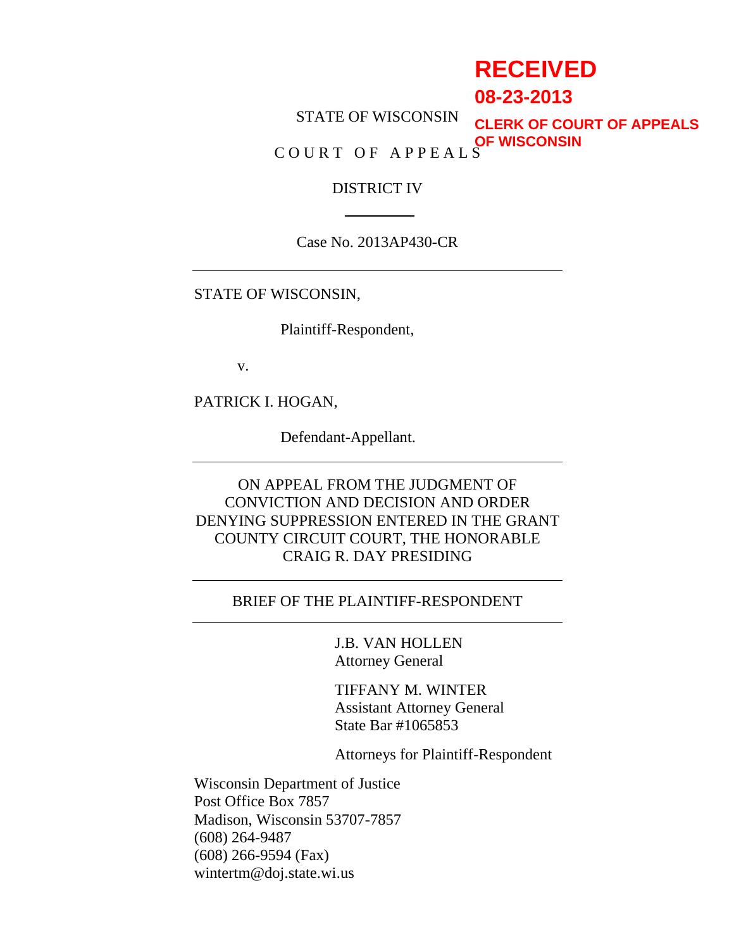# **RECEIVED**

**08-23-2013**

STATE OF WISCONSIN COURT OF APPEALS **CLERK OF COURT OF APPEALS OF WISCONSIN**

#### DISTRICT IV

Case No. 2013AP430-CR

STATE OF WISCONSIN,

Plaintiff-Respondent,

v.

PATRICK I. HOGAN,

Defendant-Appellant.

ON APPEAL FROM THE JUDGMENT OF CONVICTION AND DECISION AND ORDER DENYING SUPPRESSION ENTERED IN THE GRANT COUNTY CIRCUIT COURT, THE HONORABLE CRAIG R. DAY PRESIDING

# BRIEF OF THE PLAINTIFF-RESPONDENT

J.B. VAN HOLLEN Attorney General

TIFFANY M. WINTER Assistant Attorney General State Bar #1065853

Attorneys for Plaintiff-Respondent

Wisconsin Department of Justice Post Office Box 7857 Madison, Wisconsin 53707-7857 (608) 264-9487 (608) 266-9594 (Fax) wintertm@doj.state.wi.us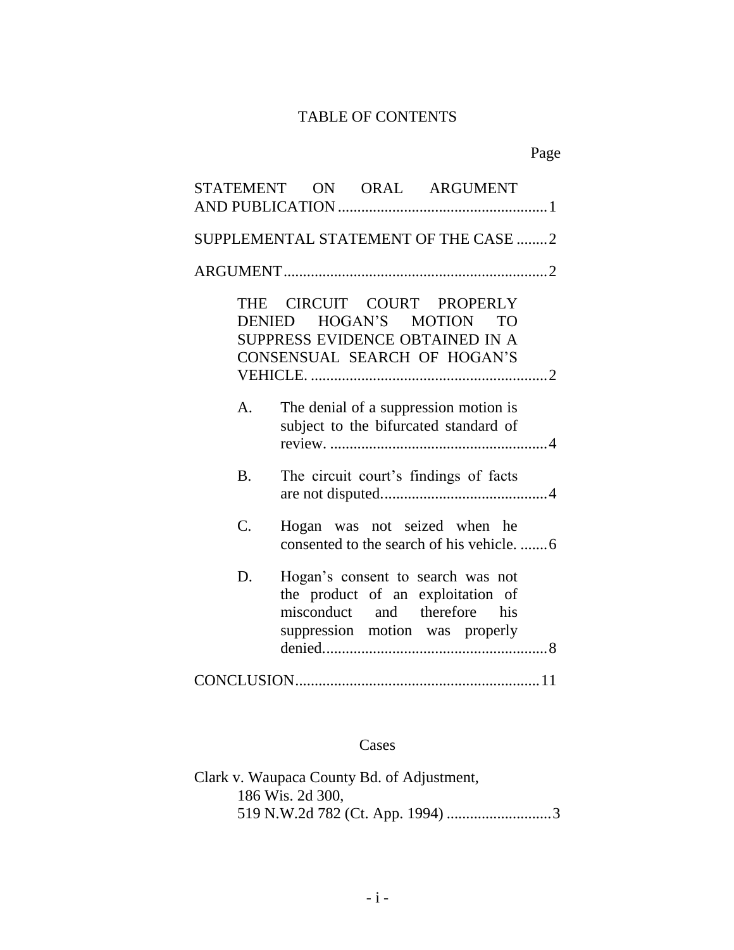# TABLE OF CONTENTS

| STATEMENT ON ORAL ARGUMENT                                                                                                                      |  |  |  |  |
|-------------------------------------------------------------------------------------------------------------------------------------------------|--|--|--|--|
| SUPPLEMENTAL STATEMENT OF THE CASE 2                                                                                                            |  |  |  |  |
|                                                                                                                                                 |  |  |  |  |
| CIRCUIT COURT PROPERLY<br>THE<br>DENIED HOGAN'S MOTION<br>T <sub>O</sub><br>SUPPRESS EVIDENCE OBTAINED IN A<br>CONSENSUAL SEARCH OF HOGAN'S     |  |  |  |  |
| The denial of a suppression motion is<br>А.<br>subject to the bifurcated standard of                                                            |  |  |  |  |
| <b>B.</b><br>The circuit court's findings of facts                                                                                              |  |  |  |  |
| C.<br>Hogan was not seized when he                                                                                                              |  |  |  |  |
| D.<br>Hogan's consent to search was not<br>the product of an exploitation of<br>misconduct and therefore his<br>suppression motion was properly |  |  |  |  |
|                                                                                                                                                 |  |  |  |  |

#### Cases

Clark v. Waupaca County Bd. of Adjustment, 186 Wis. 2d 300, 519 N.W.2d 782 (Ct. App. 1994) ...........................3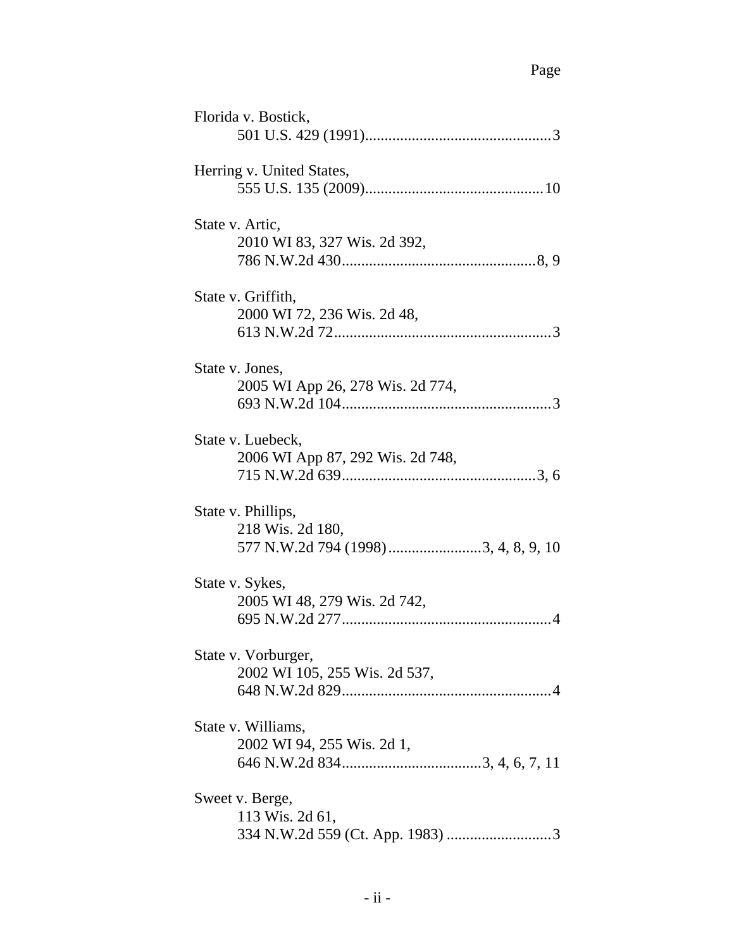| Florida v. Bostick,                                                            |
|--------------------------------------------------------------------------------|
| Herring v. United States,                                                      |
| State v. Artic,<br>2010 WI 83, 327 Wis. 2d 392,                                |
| State v. Griffith,<br>2000 WI 72, 236 Wis. 2d 48,                              |
| State v. Jones,<br>2005 WI App 26, 278 Wis. 2d 774,                            |
| State v. Luebeck,<br>2006 WI App 87, 292 Wis. 2d 748,                          |
| State v. Phillips,<br>218 Wis. 2d 180,<br>577 N.W.2d 794 (1998) 3, 4, 8, 9, 10 |
| State v. Sykes,<br>2005 WI 48, 279 Wis. 2d 742,                                |
| State v. Vorburger,<br>2002 WI 105, 255 Wis. 2d 537,                           |
| State v. Williams,<br>2002 WI 94, 255 Wis. 2d 1,                               |
| Sweet v. Berge,<br>113 Wis. 2d 61,                                             |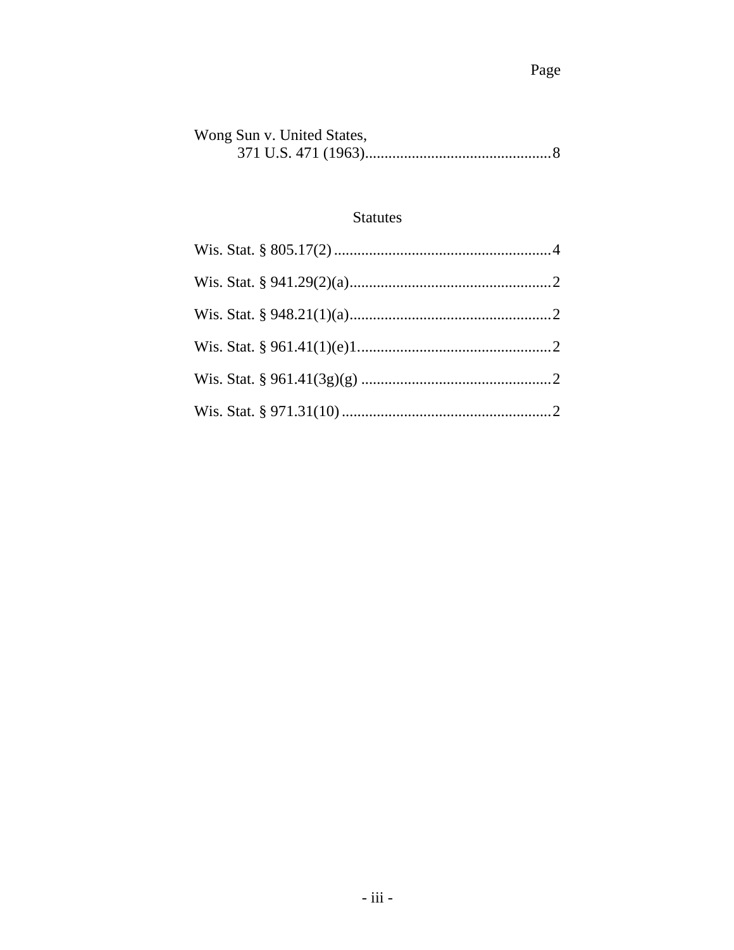| Wong Sun v. United States, |
|----------------------------|
|                            |

# Statutes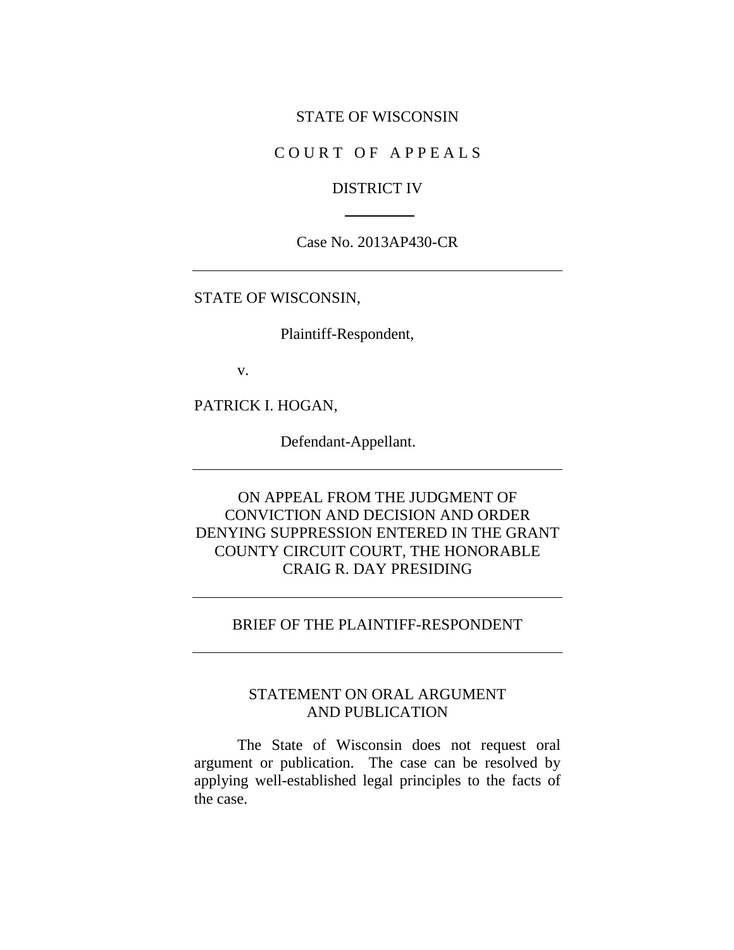#### STATE OF WISCONSIN

## COURT OF APPEALS

#### DISTRICT IV

#### Case No. 2013AP430-CR

#### STATE OF WISCONSIN,

Plaintiff-Respondent,

v.

PATRICK I. HOGAN,

Defendant-Appellant.

# ON APPEAL FROM THE JUDGMENT OF CONVICTION AND DECISION AND ORDER DENYING SUPPRESSION ENTERED IN THE GRANT COUNTY CIRCUIT COURT, THE HONORABLE CRAIG R. DAY PRESIDING

## BRIEF OF THE PLAINTIFF-RESPONDENT

# STATEMENT ON ORAL ARGUMENT AND PUBLICATION

The State of Wisconsin does not request oral argument or publication. The case can be resolved by applying well-established legal principles to the facts of the case.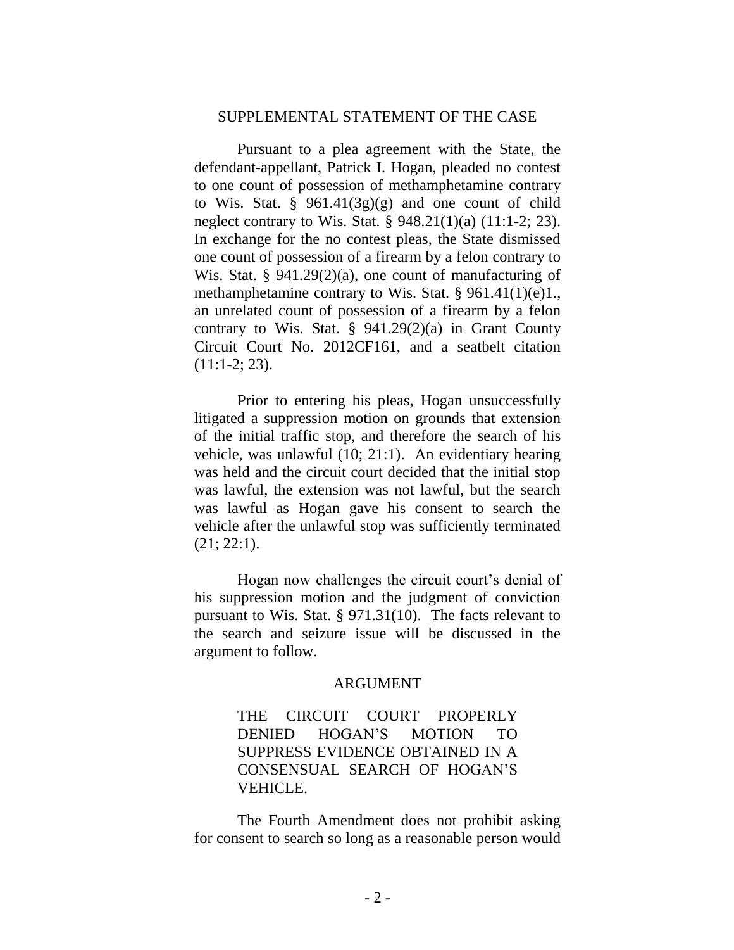#### SUPPLEMENTAL STATEMENT OF THE CASE

Pursuant to a plea agreement with the State, the defendant-appellant, Patrick I. Hogan, pleaded no contest to one count of possession of methamphetamine contrary to Wis. Stat. §  $961.41(3g)(g)$  and one count of child neglect contrary to Wis. Stat. § 948.21(1)(a) (11:1-2; 23). In exchange for the no contest pleas, the State dismissed one count of possession of a firearm by a felon contrary to Wis. Stat. § 941.29(2)(a), one count of manufacturing of methamphetamine contrary to Wis. Stat. § 961.41(1)(e)1., an unrelated count of possession of a firearm by a felon contrary to Wis. Stat.  $\S$  941.29(2)(a) in Grant County Circuit Court No. 2012CF161, and a seatbelt citation (11:1-2; 23).

Prior to entering his pleas, Hogan unsuccessfully litigated a suppression motion on grounds that extension of the initial traffic stop, and therefore the search of his vehicle, was unlawful (10; 21:1). An evidentiary hearing was held and the circuit court decided that the initial stop was lawful, the extension was not lawful, but the search was lawful as Hogan gave his consent to search the vehicle after the unlawful stop was sufficiently terminated (21; 22:1).

Hogan now challenges the circuit court's denial of his suppression motion and the judgment of conviction pursuant to Wis. Stat. § 971.31(10). The facts relevant to the search and seizure issue will be discussed in the argument to follow.

#### ARGUMENT

# THE CIRCUIT COURT PROPERLY DENIED HOGAN'S MOTION TO SUPPRESS EVIDENCE OBTAINED IN A CONSENSUAL SEARCH OF HOGAN'S VEHICLE.

The Fourth Amendment does not prohibit asking for consent to search so long as a reasonable person would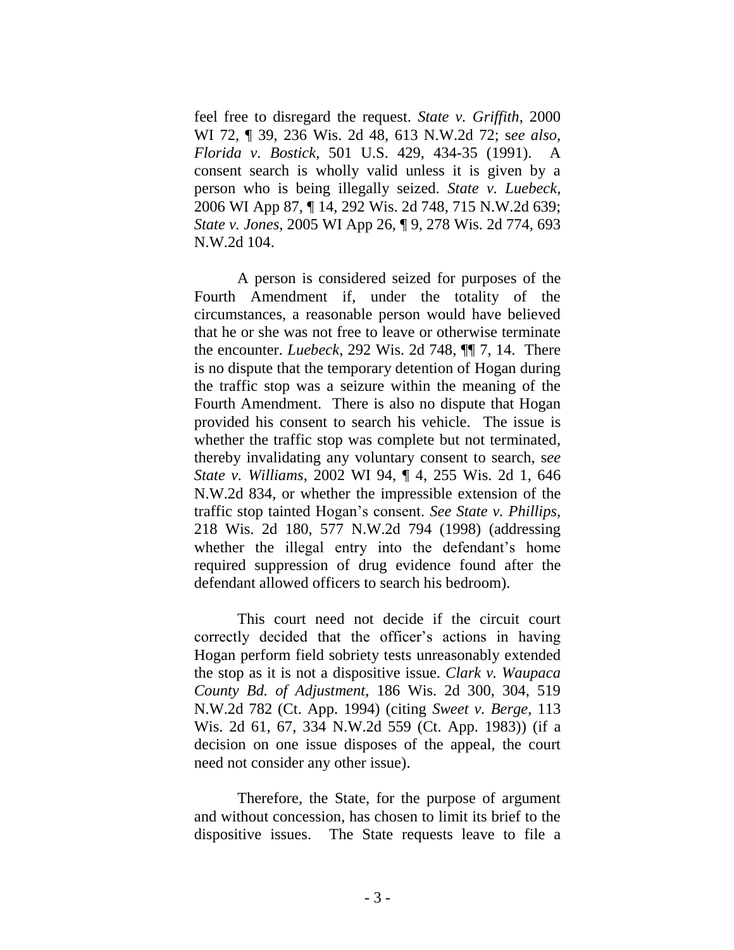feel free to disregard the request. *State v. Griffith*, 2000 WI 72, ¶ 39, 236 Wis. 2d 48, 613 N.W.2d 72; s*ee also, Florida v. Bostick*, 501 U.S. 429, 434-35 (1991). A consent search is wholly valid unless it is given by a person who is being illegally seized. *State v. Luebeck*, 2006 WI App 87, ¶ 14, 292 Wis. 2d 748, 715 N.W.2d 639; *State v. Jones*, 2005 WI App 26, ¶ 9, 278 Wis. 2d 774, 693 N.W.2d 104.

A person is considered seized for purposes of the Fourth Amendment if, under the totality of the circumstances, a reasonable person would have believed that he or she was not free to leave or otherwise terminate the encounter. *Luebeck*, 292 Wis. 2d 748, ¶¶ 7, 14. There is no dispute that the temporary detention of Hogan during the traffic stop was a seizure within the meaning of the Fourth Amendment. There is also no dispute that Hogan provided his consent to search his vehicle. The issue is whether the traffic stop was complete but not terminated, thereby invalidating any voluntary consent to search, s*ee State v. Williams*, 2002 WI 94, ¶ 4, 255 Wis. 2d 1, 646 N.W.2d 834, or whether the impressible extension of the traffic stop tainted Hogan's consent. *See State v. Phillips*, 218 Wis. 2d 180, 577 N.W.2d 794 (1998) (addressing whether the illegal entry into the defendant's home required suppression of drug evidence found after the defendant allowed officers to search his bedroom).

This court need not decide if the circuit court correctly decided that the officer's actions in having Hogan perform field sobriety tests unreasonably extended the stop as it is not a dispositive issue. *Clark v. Waupaca County Bd. of Adjustment*, 186 Wis. 2d 300, 304, 519 N.W.2d 782 (Ct. App. 1994) (citing *Sweet v. Berge*, 113 Wis. 2d 61, 67, 334 N.W.2d 559 (Ct. App. 1983)) (if a decision on one issue disposes of the appeal, the court need not consider any other issue).

Therefore, the State, for the purpose of argument and without concession, has chosen to limit its brief to the dispositive issues. The State requests leave to file a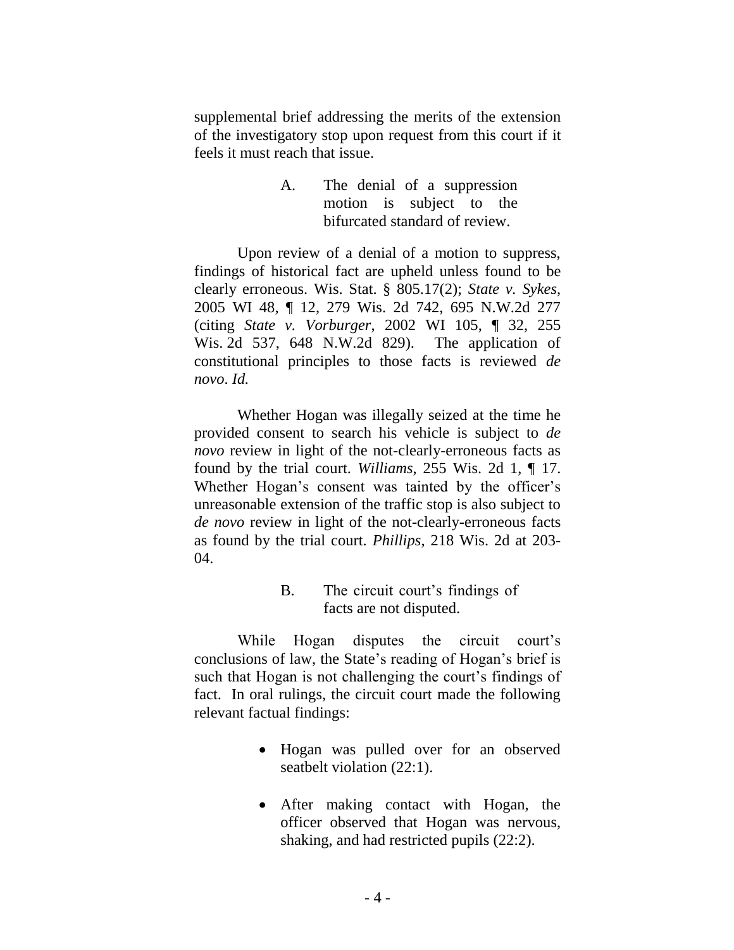supplemental brief addressing the merits of the extension of the investigatory stop upon request from this court if it feels it must reach that issue.

> A. The denial of a suppression motion is subject to the bifurcated standard of review.

Upon review of a denial of a motion to suppress, findings of historical fact are upheld unless found to be clearly erroneous. Wis. Stat. § 805.17(2); *State v. Sykes*, 2005 WI 48, ¶ 12, 279 Wis. 2d 742, 695 N.W.2d 277 (citing *State v. Vorburger*, 2002 WI 105, ¶ 32, 255 Wis. 2d 537, 648 N.W.2d 829). The application of constitutional principles to those facts is reviewed *de novo*. *Id.*

Whether Hogan was illegally seized at the time he provided consent to search his vehicle is subject to *de novo* review in light of the not-clearly-erroneous facts as found by the trial court. *Williams*, 255 Wis. 2d 1, ¶ 17. Whether Hogan's consent was tainted by the officer's unreasonable extension of the traffic stop is also subject to *de novo* review in light of the not-clearly-erroneous facts as found by the trial court. *Phillips*, 218 Wis. 2d at 203- 04.

> B. The circuit court's findings of facts are not disputed.

While Hogan disputes the circuit court's conclusions of law, the State's reading of Hogan's brief is such that Hogan is not challenging the court's findings of fact. In oral rulings, the circuit court made the following relevant factual findings:

- Hogan was pulled over for an observed seatbelt violation (22:1).
- After making contact with Hogan, the officer observed that Hogan was nervous, shaking, and had restricted pupils (22:2).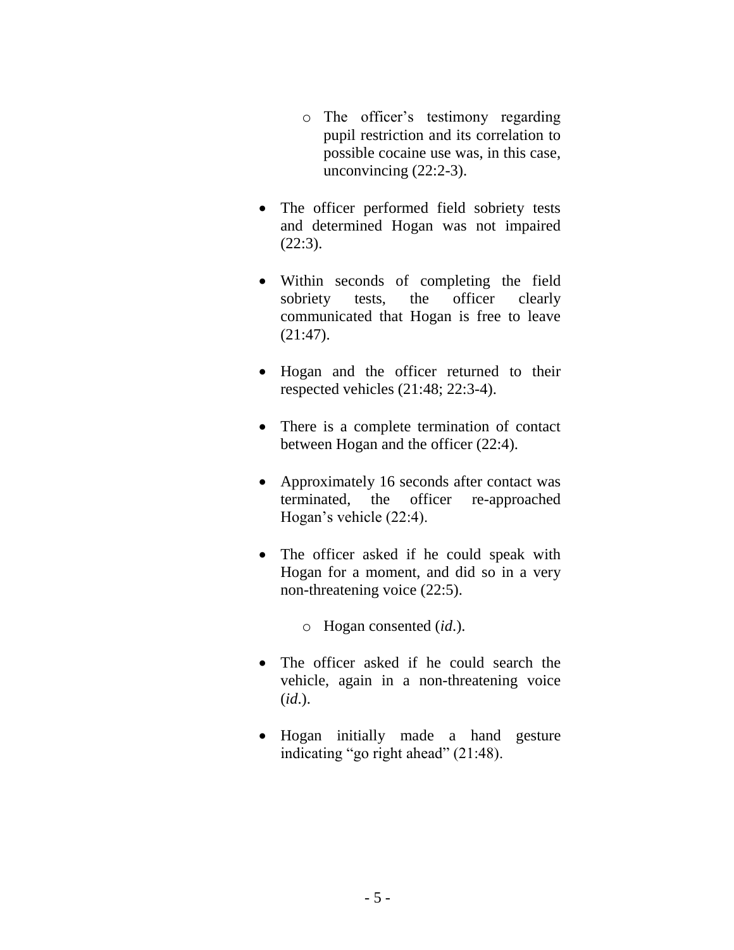- o The officer's testimony regarding pupil restriction and its correlation to possible cocaine use was, in this case, unconvincing (22:2-3).
- The officer performed field sobriety tests and determined Hogan was not impaired  $(22:3).$
- Within seconds of completing the field sobriety tests, the officer clearly communicated that Hogan is free to leave (21:47).
- Hogan and the officer returned to their respected vehicles (21:48; 22:3-4).
- There is a complete termination of contact between Hogan and the officer (22:4).
- Approximately 16 seconds after contact was terminated, the officer re-approached Hogan's vehicle (22:4).
- The officer asked if he could speak with Hogan for a moment, and did so in a very non-threatening voice (22:5).

o Hogan consented (*id*.).

- The officer asked if he could search the vehicle, again in a non-threatening voice (*id*.).
- Hogan initially made a hand gesture indicating "go right ahead" (21:48).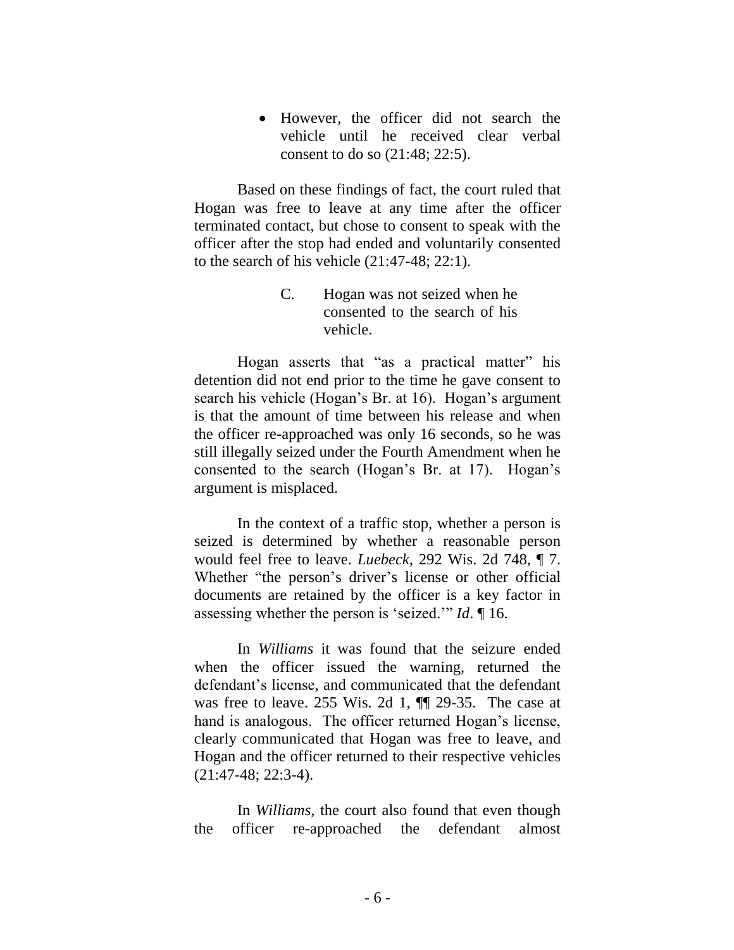However, the officer did not search the vehicle until he received clear verbal consent to do so (21:48; 22:5).

Based on these findings of fact, the court ruled that Hogan was free to leave at any time after the officer terminated contact, but chose to consent to speak with the officer after the stop had ended and voluntarily consented to the search of his vehicle (21:47-48; 22:1).

> C. Hogan was not seized when he consented to the search of his vehicle.

Hogan asserts that "as a practical matter" his detention did not end prior to the time he gave consent to search his vehicle (Hogan's Br. at 16). Hogan's argument is that the amount of time between his release and when the officer re-approached was only 16 seconds, so he was still illegally seized under the Fourth Amendment when he consented to the search (Hogan's Br. at 17). Hogan's argument is misplaced.

In the context of a traffic stop, whether a person is seized is determined by whether a reasonable person would feel free to leave. *Luebeck*, 292 Wis. 2d 748, ¶ 7. Whether "the person's driver's license or other official documents are retained by the officer is a key factor in assessing whether the person is 'seized.'" *Id*. ¶ 16.

In *Williams* it was found that the seizure ended when the officer issued the warning, returned the defendant's license, and communicated that the defendant was free to leave. 255 Wis. 2d 1, ¶¶ 29-35. The case at hand is analogous. The officer returned Hogan's license, clearly communicated that Hogan was free to leave, and Hogan and the officer returned to their respective vehicles (21:47-48; 22:3-4).

In *Williams*, the court also found that even though the officer re-approached the defendant almost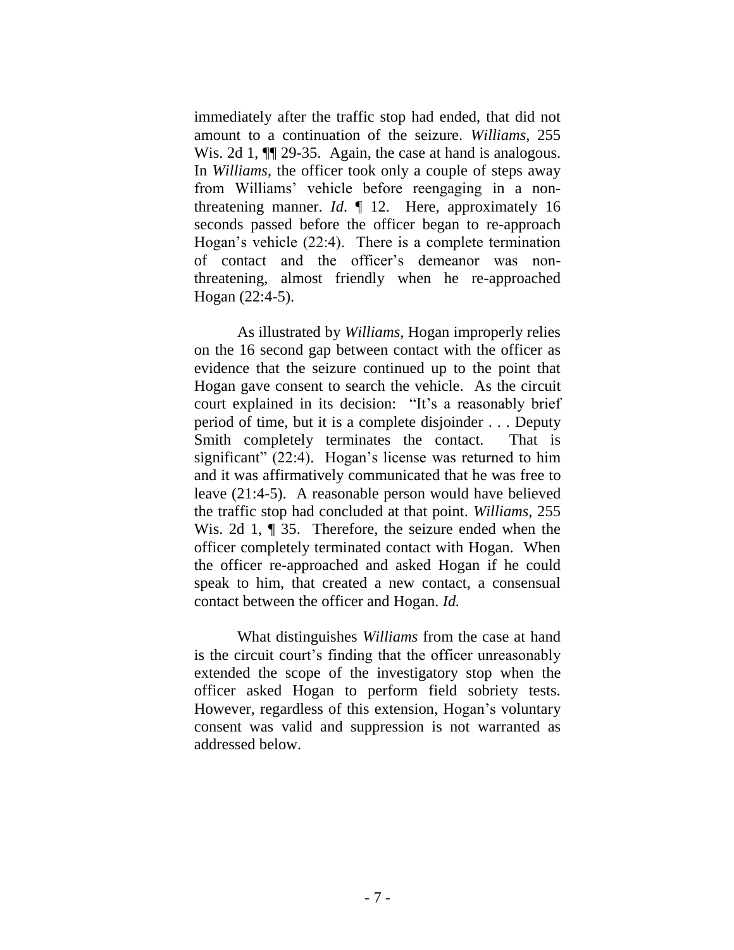immediately after the traffic stop had ended, that did not amount to a continuation of the seizure. *Williams*, 255 Wis. 2d 1,  $\P$  29-35. Again, the case at hand is analogous. In *Williams*, the officer took only a couple of steps away from Williams' vehicle before reengaging in a nonthreatening manner. *Id*. ¶ 12. Here, approximately 16 seconds passed before the officer began to re-approach Hogan's vehicle (22:4). There is a complete termination of contact and the officer's demeanor was nonthreatening, almost friendly when he re-approached Hogan (22:4-5).

As illustrated by *Williams*, Hogan improperly relies on the 16 second gap between contact with the officer as evidence that the seizure continued up to the point that Hogan gave consent to search the vehicle. As the circuit court explained in its decision: "It's a reasonably brief period of time, but it is a complete disjoinder . . . Deputy Smith completely terminates the contact. That is significant" (22:4). Hogan's license was returned to him and it was affirmatively communicated that he was free to leave (21:4-5). A reasonable person would have believed the traffic stop had concluded at that point. *Williams*, 255 Wis. 2d 1, ¶ 35. Therefore, the seizure ended when the officer completely terminated contact with Hogan. When the officer re-approached and asked Hogan if he could speak to him, that created a new contact, a consensual contact between the officer and Hogan. *Id.*

What distinguishes *Williams* from the case at hand is the circuit court's finding that the officer unreasonably extended the scope of the investigatory stop when the officer asked Hogan to perform field sobriety tests. However, regardless of this extension, Hogan's voluntary consent was valid and suppression is not warranted as addressed below.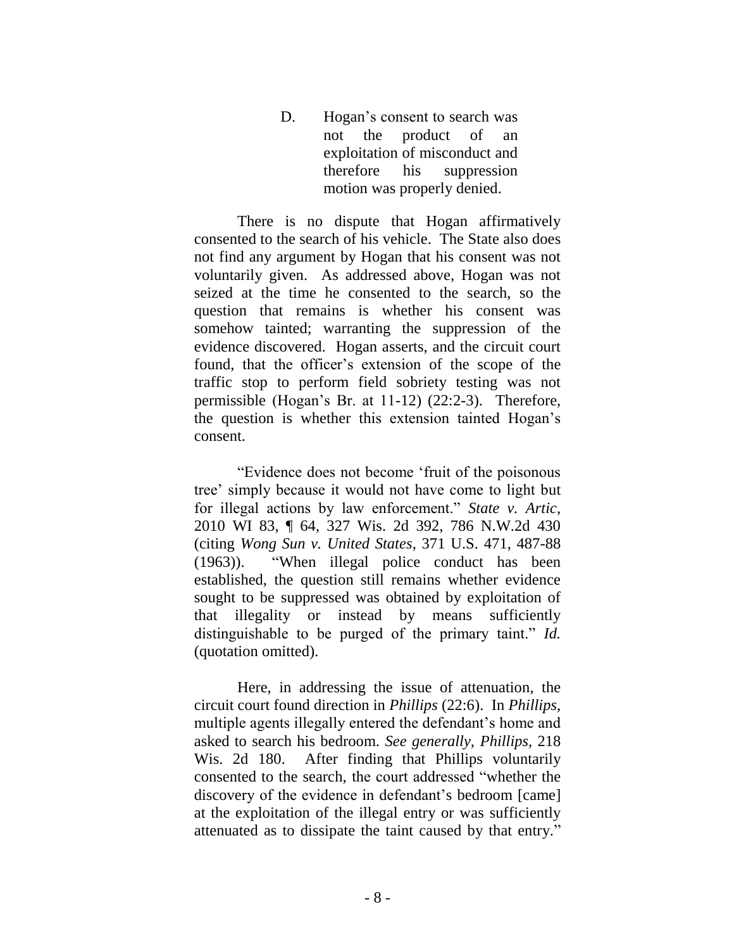D. Hogan's consent to search was not the product of an exploitation of misconduct and therefore his suppression motion was properly denied.

There is no dispute that Hogan affirmatively consented to the search of his vehicle. The State also does not find any argument by Hogan that his consent was not voluntarily given. As addressed above, Hogan was not seized at the time he consented to the search, so the question that remains is whether his consent was somehow tainted; warranting the suppression of the evidence discovered. Hogan asserts, and the circuit court found, that the officer's extension of the scope of the traffic stop to perform field sobriety testing was not permissible (Hogan's Br. at 11-12) (22:2-3). Therefore, the question is whether this extension tainted Hogan's consent.

"Evidence does not become 'fruit of the poisonous tree' simply because it would not have come to light but for illegal actions by law enforcement." *State v. Artic*, 2010 WI 83, ¶ 64, 327 Wis. 2d 392, 786 N.W.2d 430 (citing *Wong Sun v. United States*, 371 U.S. 471, 487-88 (1963)). "When illegal police conduct has been established, the question still remains whether evidence sought to be suppressed was obtained by exploitation of that illegality or instead by means sufficiently distinguishable to be purged of the primary taint." *Id.*  (quotation omitted).

Here, in addressing the issue of attenuation, the circuit court found direction in *Phillips* (22:6). In *Phillips,*  multiple agents illegally entered the defendant's home and asked to search his bedroom. *See generally, Phillips,* 218 Wis. 2d 180. After finding that Phillips voluntarily consented to the search, the court addressed "whether the discovery of the evidence in defendant's bedroom [came] at the exploitation of the illegal entry or was sufficiently attenuated as to dissipate the taint caused by that entry."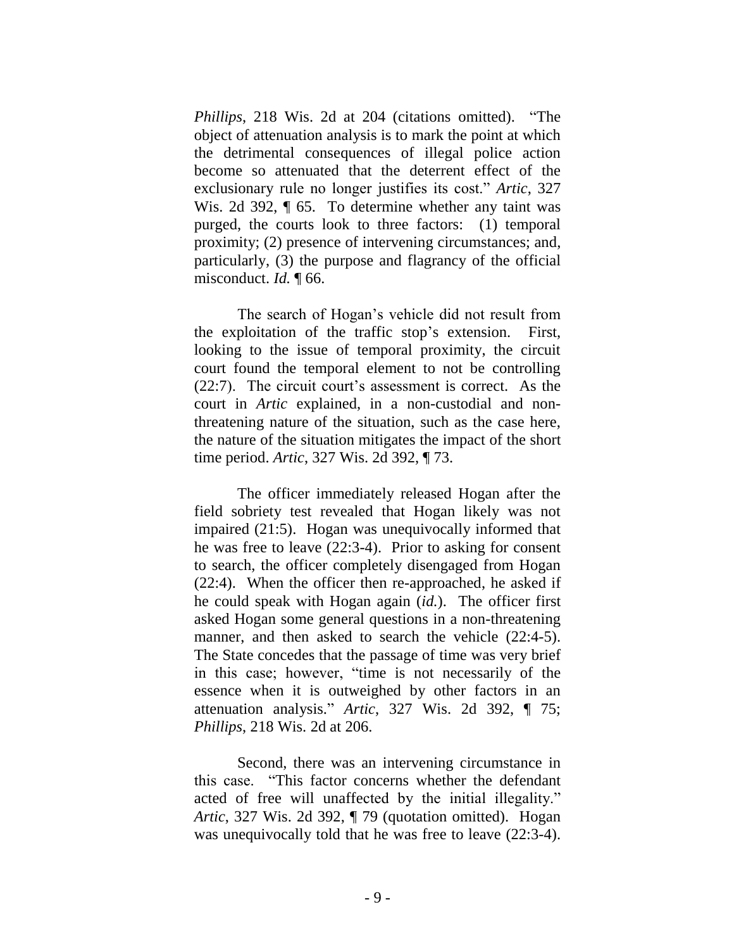*Phillips*, 218 Wis. 2d at 204 (citations omitted). "The object of attenuation analysis is to mark the point at which the detrimental consequences of illegal police action become so attenuated that the deterrent effect of the exclusionary rule no longer justifies its cost." *Artic*, 327 Wis. 2d 392, ¶ 65. To determine whether any taint was purged, the courts look to three factors: (1) temporal proximity; (2) presence of intervening circumstances; and, particularly, (3) the purpose and flagrancy of the official misconduct. *Id.* ¶ 66.

The search of Hogan's vehicle did not result from the exploitation of the traffic stop's extension. First, looking to the issue of temporal proximity, the circuit court found the temporal element to not be controlling (22:7). The circuit court's assessment is correct. As the court in *Artic* explained, in a non-custodial and nonthreatening nature of the situation, such as the case here, the nature of the situation mitigates the impact of the short time period. *Artic*, 327 Wis. 2d 392, ¶ 73.

The officer immediately released Hogan after the field sobriety test revealed that Hogan likely was not impaired (21:5). Hogan was unequivocally informed that he was free to leave (22:3-4). Prior to asking for consent to search, the officer completely disengaged from Hogan (22:4). When the officer then re-approached, he asked if he could speak with Hogan again (*id.*). The officer first asked Hogan some general questions in a non-threatening manner, and then asked to search the vehicle  $(22:4-5)$ . The State concedes that the passage of time was very brief in this case; however, "time is not necessarily of the essence when it is outweighed by other factors in an attenuation analysis." *Artic*, 327 Wis. 2d 392, ¶ 75; *Phillips*, 218 Wis. 2d at 206.

Second, there was an intervening circumstance in this case. "This factor concerns whether the defendant acted of free will unaffected by the initial illegality." *Artic*, 327 Wis. 2d 392, ¶ 79 (quotation omitted). Hogan was unequivocally told that he was free to leave  $(22:3-4)$ .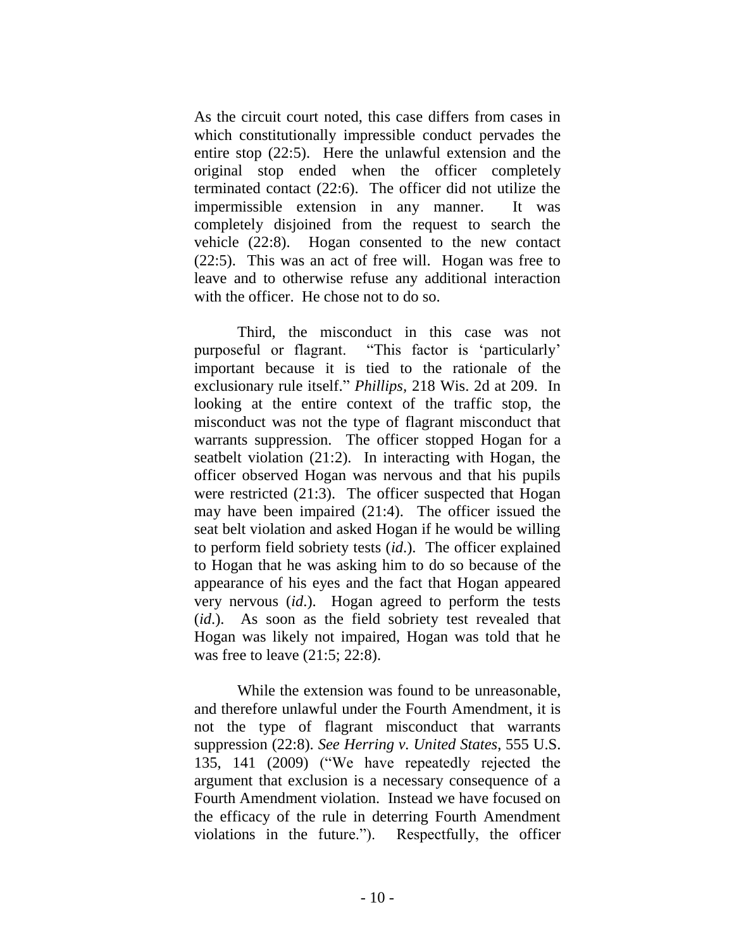As the circuit court noted, this case differs from cases in which constitutionally impressible conduct pervades the entire stop (22:5). Here the unlawful extension and the original stop ended when the officer completely terminated contact (22:6). The officer did not utilize the impermissible extension in any manner. It was completely disjoined from the request to search the vehicle (22:8). Hogan consented to the new contact (22:5). This was an act of free will. Hogan was free to leave and to otherwise refuse any additional interaction with the officer. He chose not to do so.

Third, the misconduct in this case was not purposeful or flagrant. "This factor is 'particularly' important because it is tied to the rationale of the exclusionary rule itself." *Phillips,* 218 Wis. 2d at 209. In looking at the entire context of the traffic stop, the misconduct was not the type of flagrant misconduct that warrants suppression. The officer stopped Hogan for a seatbelt violation (21:2). In interacting with Hogan, the officer observed Hogan was nervous and that his pupils were restricted (21:3). The officer suspected that Hogan may have been impaired (21:4). The officer issued the seat belt violation and asked Hogan if he would be willing to perform field sobriety tests (*id*.). The officer explained to Hogan that he was asking him to do so because of the appearance of his eyes and the fact that Hogan appeared very nervous (*id*.). Hogan agreed to perform the tests (*id*.). As soon as the field sobriety test revealed that Hogan was likely not impaired, Hogan was told that he was free to leave (21:5; 22:8).

While the extension was found to be unreasonable, and therefore unlawful under the Fourth Amendment, it is not the type of flagrant misconduct that warrants suppression (22:8). *See Herring v. United States*, 555 U.S. 135, 141 (2009) ("We have repeatedly rejected the argument that exclusion is a necessary consequence of a Fourth Amendment violation. Instead we have focused on the efficacy of the rule in deterring Fourth Amendment violations in the future."). Respectfully, the officer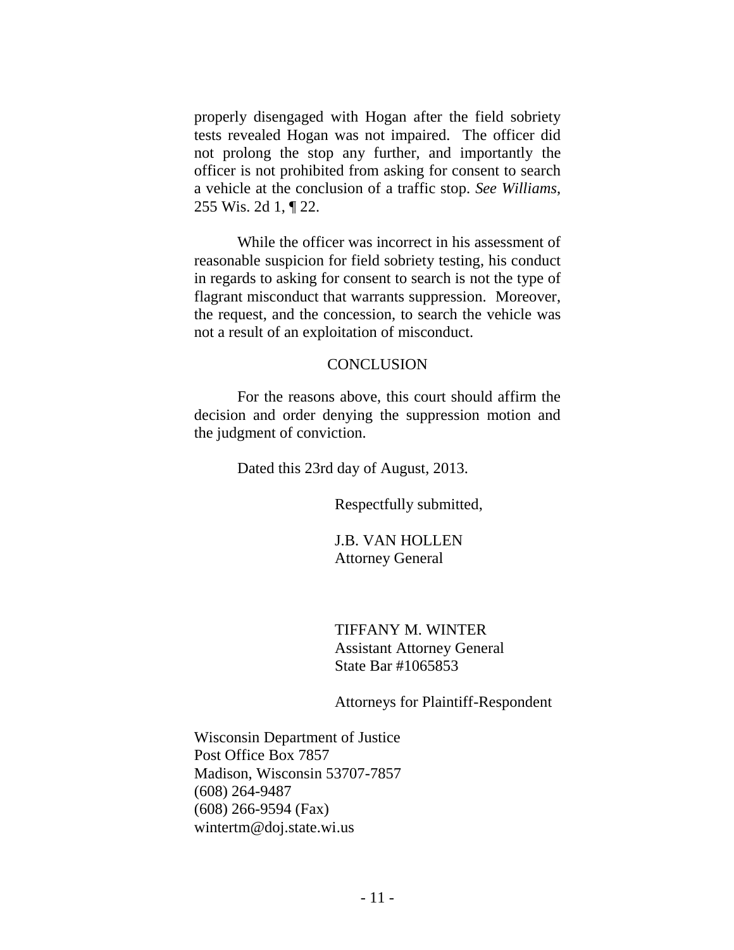properly disengaged with Hogan after the field sobriety tests revealed Hogan was not impaired. The officer did not prolong the stop any further, and importantly the officer is not prohibited from asking for consent to search a vehicle at the conclusion of a traffic stop. *See Williams*, 255 Wis. 2d 1, ¶ 22.

While the officer was incorrect in his assessment of reasonable suspicion for field sobriety testing, his conduct in regards to asking for consent to search is not the type of flagrant misconduct that warrants suppression. Moreover, the request, and the concession, to search the vehicle was not a result of an exploitation of misconduct.

#### **CONCLUSION**

For the reasons above, this court should affirm the decision and order denying the suppression motion and the judgment of conviction.

Dated this 23rd day of August, 2013.

Respectfully submitted,

J.B. VAN HOLLEN Attorney General

TIFFANY M. WINTER Assistant Attorney General State Bar #1065853

Attorneys for Plaintiff-Respondent

Wisconsin Department of Justice Post Office Box 7857 Madison, Wisconsin 53707-7857 (608) 264-9487 (608) 266-9594 (Fax) wintertm@doj.state.wi.us